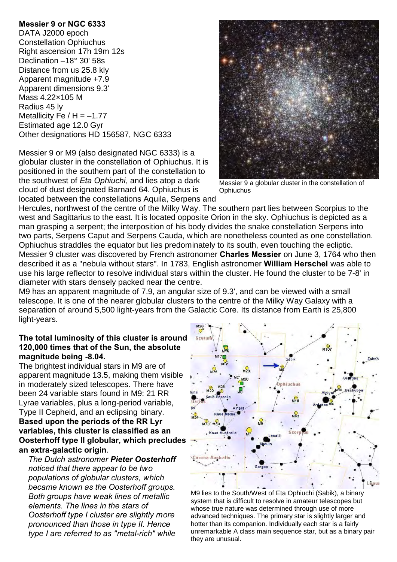## **Messier 9 or NGC 6333**

DATA J2000 epoch Constellation Ophiuchus Right ascension 17h 19m 12s Declination –18° 30' 58s Distance from us 25.8 kly Apparent magnitude +7.9 Apparent dimensions 9.3' Mass 4.22×105 M Radius 45 ly Metallicity Fe  $/H = -1.77$ Estimated age 12.0 Gyr Other designations HD 156587, NGC 6333

Messier 9 or M9 (also designated NGC 6333) is a globular cluster in the constellation of Ophiuchus. It is positioned in the southern part of the constellation to the southwest of *Eta Ophiuchi*, and lies atop a dark cloud of dust designated Barnard 64. Ophiuchus is located between the constellations Aquila, Serpens and



Messier 9 a globular cluster in the constellation of **Ophiuchus** 

Hercules, northwest of the centre of the Milky Way. The southern part lies between Scorpius to the west and Sagittarius to the east. It is located opposite Orion in the sky. Ophiuchus is depicted as a man grasping a serpent; the interposition of his body divides the snake constellation Serpens into two parts, Serpens Caput and Serpens Cauda, which are nonetheless counted as one constellation. Ophiuchus straddles the equator but lies predominately to its south, even touching the ecliptic. Messier 9 cluster was discovered by French astronomer **Charles Messier** on June 3, 1764 who then described it as a "nebula without stars". In 1783, English astronomer **William Herschel** was able to use his large reflector to resolve individual stars within the cluster. He found the cluster to be 7-8' in diameter with stars densely packed near the centre.

M9 has an apparent magnitude of 7.9, an angular size of 9.3', and can be viewed with a small telescope. It is one of the nearer globular clusters to the centre of the Milky Way Galaxy with a separation of around 5,500 light-years from the Galactic Core. Its distance from Earth is 25,800 light-years.

## **The total luminosity of this cluster is around 120,000 times that of the Sun, the absolute magnitude being -8.04.**

The brightest individual stars in M9 are of apparent magnitude 13.5, making them visible in moderately sized telescopes. There have been 24 variable stars found in M9: 21 RR Lyrae variables, plus a long-period variable, Type II Cepheid, and an eclipsing binary. **Based upon the periods of the RR Lyr variables, this cluster is classified as an Oosterhoff type II globular, which precludes an extra-galactic origin**.

*The Dutch astronomer Pieter Oosterhoff noticed that there appear to be two populations of globular clusters, which became known as the Oosterhoff groups. Both groups have weak lines of metallic elements. The lines in the stars of Oosterhoff type I cluster are slightly more pronounced than those in type II. Hence type I are referred to as "metal-rich" while*



M9 lies to the South/West of Eta Ophiuchi (Sabik), a binary system that is difficult to resolve in amateur telescopes but whose true nature was determined through use of more advanced techniques. The primary star is slightly larger and hotter than its companion. Individually each star is a fairly unremarkable A class main sequence star, but as a binary pair they are unusual.